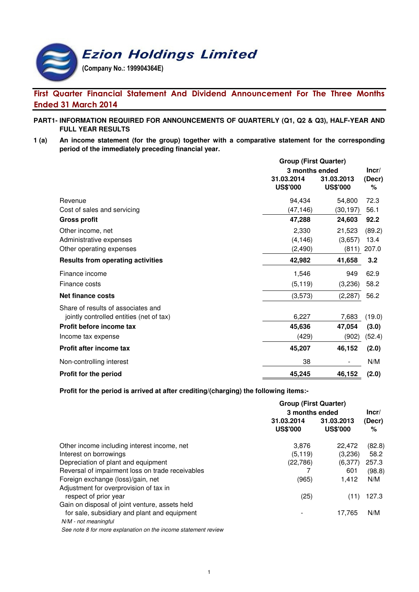# **Ezion Holdings Limited**

(Company No.: 199904364E)

# First Quarter Financial Statement And Dividend Announcement For The Three Months Ended 31 March 2014

- **PART1- INFORMATION REQUIRED FOR ANNOUNCEMENTS OF QUARTERLY (Q1, Q2 & Q3), HALF-YEAR AND FULL YEAR RESULTS**
- **1 (a) An income statement (for the group) together with a comparative statement for the corresponding period of the immediately preceding financial year.**

|                                          | <b>Group (First Quarter)</b>  |                               |             |  |
|------------------------------------------|-------------------------------|-------------------------------|-------------|--|
|                                          | 3 months ended                |                               | Incr/       |  |
|                                          | 31.03.2014<br><b>US\$'000</b> | 31.03.2013<br><b>US\$'000</b> | (Decr)<br>℅ |  |
| Revenue                                  | 94,434                        | 54,800                        | 72.3        |  |
| Cost of sales and servicing              | (47, 146)                     | (30, 197)                     | 56.1        |  |
| <b>Gross profit</b>                      | 47,288                        | 24,603                        | 92.2        |  |
| Other income, net                        | 2,330                         | 21,523                        | (89.2)      |  |
| Administrative expenses                  | (4, 146)                      | (3,657)                       | 13.4        |  |
| Other operating expenses                 | (2, 490)                      | (811)                         | 207.0       |  |
| <b>Results from operating activities</b> | 42,982                        | 41,658                        | 3.2         |  |
| Finance income                           | 1,546                         | 949                           | 62.9        |  |
| Finance costs                            | (5, 119)                      | (3,236)                       | 58.2        |  |
| <b>Net finance costs</b>                 | (3,573)                       | (2, 287)                      | 56.2        |  |
| Share of results of associates and       |                               |                               |             |  |
| jointly controlled entities (net of tax) | 6,227                         | 7,683                         | (19.0)      |  |
| Profit before income tax                 | 45,636                        | 47,054                        | (3.0)       |  |
| Income tax expense                       | (429)                         | (902)                         | (52.4)      |  |
| <b>Profit after income tax</b>           | 45,207                        | 46,152                        | (2.0)       |  |
| Non-controlling interest                 | 38                            |                               | N/M         |  |
| Profit for the period                    | 45,245                        | 46,152                        | (2.0)       |  |

**Profit for the period is arrived at after crediting/(charging) the following items:-**

|                                                                | <b>Group (First Quarter)</b>  |                               |             |
|----------------------------------------------------------------|-------------------------------|-------------------------------|-------------|
|                                                                | 3 months ended                |                               |             |
|                                                                | 31.03.2014<br><b>US\$'000</b> | 31.03.2013<br><b>US\$'000</b> | (Decr)<br>% |
| Other income including interest income, net                    | 3,876                         | 22.472                        | (82.8)      |
| Interest on borrowings                                         | (5, 119)                      | (3,236)                       | 58.2        |
| Depreciation of plant and equipment                            | (22, 786)                     | (6,377)                       | 257.3       |
| Reversal of impairment loss on trade receivables               |                               | 601                           | (98.8)      |
| Foreign exchange (loss)/gain, net                              | (965)                         | 1.412                         | N/M         |
| Adjustment for overprovision of tax in                         |                               |                               |             |
| respect of prior year                                          | (25)                          | (11)                          | 127.3       |
| Gain on disposal of joint venture, assets held                 |                               |                               |             |
| for sale, subsidiary and plant and equipment                   |                               | 17,765                        | N/M         |
| N/M - not meaningful                                           |                               |                               |             |
| See note 8 for more explanation on the income statement review |                               |                               |             |

1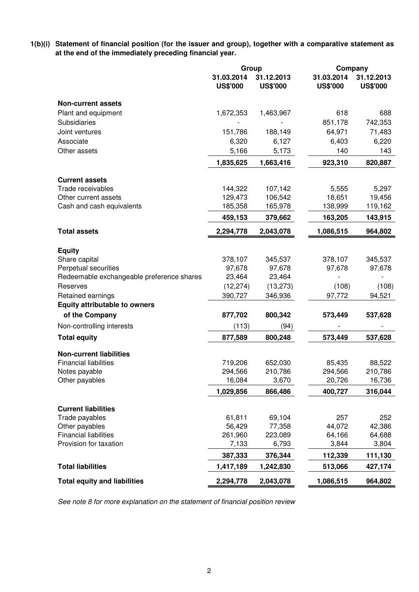**1(b)(i) Statement of financial position (for the issuer and group), together with a comparative statement as at the end of the immediately preceding financial year.**

|                                           | Group                         |                               | Company                       |                               |
|-------------------------------------------|-------------------------------|-------------------------------|-------------------------------|-------------------------------|
|                                           | 31.03.2014<br><b>US\$'000</b> | 31.12.2013<br><b>US\$'000</b> | 31.03.2014<br><b>US\$'000</b> | 31.12.2013<br><b>US\$'000</b> |
| <b>Non-current assets</b>                 |                               |                               |                               |                               |
| Plant and equipment                       | 1,672,353                     | 1,463,967                     | 618                           | 688                           |
| Subsidiaries                              |                               |                               | 851,178                       | 742,353                       |
| Joint ventures                            | 151,786                       | 188,149                       | 64,971                        | 71,483                        |
| Associate                                 | 6,320                         | 6,127                         | 6,403                         | 6,220                         |
| Other assets                              | 5,166                         | 5,173                         | 140                           | 143                           |
|                                           | 1,835,625                     | 1,663,416                     | 923,310                       | 820,887                       |
| <b>Current assets</b>                     |                               |                               |                               |                               |
| Trade receivables                         | 144,322                       | 107,142                       | 5,555                         | 5,297                         |
| Other current assets                      | 129,473                       | 106,542                       | 18,651                        | 19,456                        |
| Cash and cash equivalents                 | 185,358                       | 165,978                       | 138,999                       | 119,162                       |
|                                           | 459,153                       | 379,662                       | 163,205                       | 143,915                       |
| <b>Total assets</b>                       | 2,294,778                     | 2,043,078                     | 1,086,515                     | 964,802                       |
| <b>Equity</b>                             |                               |                               |                               |                               |
| Share capital                             | 378,107                       | 345,537                       | 378,107                       | 345,537                       |
| Perpetual securities                      | 97,678                        | 97,678                        | 97,678                        | 97,678                        |
| Redeemable exchangeable preference shares | 23,464                        | 23,464                        |                               |                               |
| Reserves                                  | (12, 274)                     | (13, 273)                     | (108)                         | (108)                         |
| Retained earnings                         | 390,727                       | 346,936                       | 97,772                        | 94,521                        |
| <b>Equity attributable to owners</b>      |                               |                               |                               |                               |
| of the Company                            | 877,702                       | 800,342                       | 573,449                       | 537,628                       |
| Non-controlling interests                 | (113)                         | (94)                          |                               |                               |
| <b>Total equity</b>                       | 877,589                       | 800,248                       | 573,449                       | 537,628                       |
| <b>Non-current liabilities</b>            |                               |                               |                               |                               |
| <b>Financial liabilities</b>              | 719,206                       | 652,030                       | 85,435                        | 88,522                        |
| Notes payable                             | 294,566                       | 210,786                       | 294,566                       | 210,786                       |
| Other payables                            | 16,084                        | 3,670                         | 20,726                        | 16,736                        |
|                                           | 1,029,856                     | 866,486                       | 400,727                       | 316,044                       |
| <b>Current liabilities</b>                |                               |                               |                               |                               |
| Trade payables                            | 61,811                        | 69,104                        | 257                           | 252                           |
| Other payables                            | 56,429                        | 77,358                        | 44,072                        | 42,386                        |
| <b>Financial liabilities</b>              | 261,960                       | 223,089                       | 64,166                        | 64,688                        |
| Provision for taxation                    | 7,133                         | 6,793                         | 3,844                         | 3,804                         |
|                                           | 387,333                       | 376,344                       | 112,339                       | 111,130                       |
| <b>Total liabilities</b>                  | 1,417,189                     | 1,242,830                     | 513,066                       | 427,174                       |
| <b>Total equity and liabilities</b>       | 2,294,778                     | 2,043,078                     | 1,086,515                     | 964,802                       |

See note 8 for more explanation on the statement of financial position review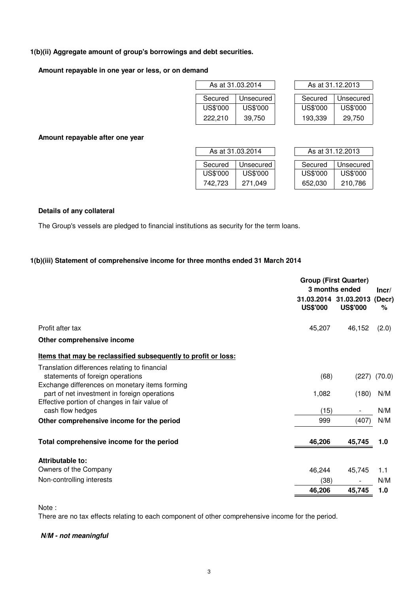### **1(b)(ii) Aggregate amount of group's borrowings and debt securities.**

### **Amount repayable in one year or less, or on demand**

|          | As at 31.03.2014 | As at 31.12.2013 |          |
|----------|------------------|------------------|----------|
|          |                  |                  |          |
| Secured  | Unsecured        | Secured          | Unsecure |
| US\$'000 | US\$'000         | US\$'000         | US\$'000 |
| 222.210  | 39.750           | 193.339          | 29.750   |

| As at 31.03.2014 |           |  | As at 31.12.2013 |           |  |  |
|------------------|-----------|--|------------------|-----------|--|--|
| Secured          | Unsecured |  | Secured          | Unsecured |  |  |
| US\$'000         | US\$'000  |  | US\$'000         | US\$'000  |  |  |
| 222.210          | 39,750    |  | 193.339          | 29.750    |  |  |

**Amount repayable after one year**

| As at 31.03.2014 |           |          | As at 31.12.2013 |
|------------------|-----------|----------|------------------|
| Secured          | Unsecured | Secured  | Unsecured        |
| US\$'000         | US\$'000  | US\$'000 | US\$'000         |
| 742.723          | 271,049   | 652,030  | 210,786          |

| As at 31.12.2013     |          |  |  |  |  |  |
|----------------------|----------|--|--|--|--|--|
| Unsecured<br>Secured |          |  |  |  |  |  |
| US\$'000             | US\$'000 |  |  |  |  |  |
|                      |          |  |  |  |  |  |
| 652.030              | 210,786  |  |  |  |  |  |

#### **Details of any collateral**

The Group's vessels are pledged to financial institutions as security for the term loans.

### **1(b)(iii) Statement of comprehensive income for three months ended 31 March 2014**

|                                                                                                                                     | <b>Group (First Quarter)</b><br>3 months ended<br>Incr/ |                                          |             |
|-------------------------------------------------------------------------------------------------------------------------------------|---------------------------------------------------------|------------------------------------------|-------------|
|                                                                                                                                     | <b>US\$'000</b>                                         | 31.03.2014 31.03.2013<br><b>US\$'000</b> | (Decr)<br>% |
| Profit after tax                                                                                                                    | 45,207                                                  | 46,152                                   | (2.0)       |
| Other comprehensive income                                                                                                          |                                                         |                                          |             |
| Items that may be reclassified subsequently to profit or loss:                                                                      |                                                         |                                          |             |
| Translation differences relating to financial<br>statements of foreign operations<br>Exchange differences on monetary items forming | (68)                                                    | (227)                                    | (70.0)      |
| part of net investment in foreign operations<br>Effective portion of changes in fair value of                                       | 1,082                                                   | (180)                                    | N/M         |
| cash flow hedges                                                                                                                    | (15)                                                    |                                          | N/M         |
| Other comprehensive income for the period                                                                                           | 999                                                     | (407)                                    | N/M         |
| Total comprehensive income for the period                                                                                           | 46,206                                                  | 45,745                                   | 1.0         |
| Attributable to:                                                                                                                    |                                                         |                                          |             |
| Owners of the Company                                                                                                               | 46,244                                                  | 45,745                                   | 1.1         |
| Non-controlling interests                                                                                                           | (38)                                                    |                                          | N/M         |
|                                                                                                                                     | 46,206                                                  | 45,745                                   | 1.0         |

Note :

There are no tax effects relating to each component of other comprehensive income for the period.

### **N/M - not meaningful**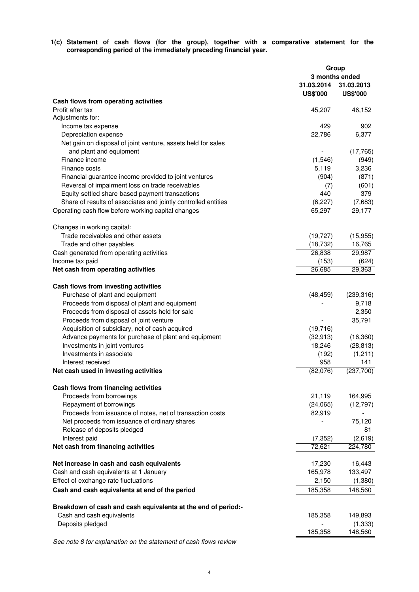**1(c) Statement of cash flows (for the group), together with a comparative statement for the corresponding period of the immediately preceding financial year.**

|                                                                                                     | Group<br>3 months ended       |                               |  |
|-----------------------------------------------------------------------------------------------------|-------------------------------|-------------------------------|--|
|                                                                                                     | 31.03.2014<br><b>US\$'000</b> | 31.03.2013<br><b>US\$'000</b> |  |
| Cash flows from operating activities                                                                |                               |                               |  |
| Profit after tax                                                                                    | 45,207                        | 46,152                        |  |
| Adjustments for:                                                                                    |                               |                               |  |
| Income tax expense                                                                                  | 429                           | 902                           |  |
| Depreciation expense                                                                                | 22,786                        | 6,377                         |  |
| Net gain on disposal of joint venture, assets held for sales                                        |                               |                               |  |
| and plant and equipment                                                                             |                               | (17, 765)                     |  |
| Finance income                                                                                      | (1,546)                       | (949)                         |  |
| Finance costs                                                                                       | 5,119                         | 3,236                         |  |
| Financial guarantee income provided to joint ventures                                               | (904)                         | (871)                         |  |
| Reversal of impairment loss on trade receivables<br>Equity-settled share-based payment transactions | (7)<br>440                    | (601)<br>379                  |  |
| Share of results of associates and jointly controlled entities                                      | (6, 227)                      | (7,683)                       |  |
| Operating cash flow before working capital changes                                                  | 65,297                        | 29,177                        |  |
|                                                                                                     |                               |                               |  |
| Changes in working capital:                                                                         |                               |                               |  |
| Trade receivables and other assets                                                                  | (19, 727)                     | (15, 955)                     |  |
| Trade and other payables                                                                            | (18, 732)                     | 16,765                        |  |
| Cash generated from operating activities<br>Income tax paid                                         | 26,838<br>(153)               | 29,987<br>(624)               |  |
| Net cash from operating activities                                                                  | 26,685                        | 29,363                        |  |
|                                                                                                     |                               |                               |  |
| Cash flows from investing activities                                                                |                               |                               |  |
| Purchase of plant and equipment                                                                     | (48, 459)                     | (239, 316)                    |  |
| Proceeds from disposal of plant and equipment                                                       |                               | 9,718                         |  |
| Proceeds from disposal of assets held for sale                                                      |                               | 2,350                         |  |
| Proceeds from disposal of joint venture<br>Acquisition of subsidiary, net of cash acquired          |                               | 35,791                        |  |
| Advance payments for purchase of plant and equipment                                                | (19, 716)<br>(32, 913)        | (16, 360)                     |  |
| Investments in joint ventures                                                                       | 18,246                        | (28, 813)                     |  |
| Investments in associate                                                                            | (192)                         | (1,211)                       |  |
| Interest received                                                                                   | 958                           | 141                           |  |
| Net cash used in investing activities                                                               | (82,076)                      | (237,700)                     |  |
| Cash flows from financing activities                                                                |                               |                               |  |
| Proceeds from borrowings                                                                            | 21,119                        | 164,995                       |  |
| Repayment of borrowings                                                                             | (24,065)                      | (12, 797)                     |  |
| Proceeds from issuance of notes, net of transaction costs                                           | 82,919                        |                               |  |
| Net proceeds from issuance of ordinary shares                                                       |                               | 75,120                        |  |
| Release of deposits pledged                                                                         |                               | 81                            |  |
| Interest paid                                                                                       | (7, 352)                      | (2,619)                       |  |
| Net cash from financing activities                                                                  | 72,621                        | 224,780                       |  |
| Net increase in cash and cash equivalents                                                           | 17,230                        | 16,443                        |  |
| Cash and cash equivalents at 1 January                                                              | 165,978                       | 133,497                       |  |
| Effect of exchange rate fluctuations                                                                | 2,150                         | (1,380)                       |  |
| Cash and cash equivalents at end of the period                                                      | 185,358                       | 148,560                       |  |
|                                                                                                     |                               |                               |  |
| Breakdown of cash and cash equivalents at the end of period:-                                       |                               |                               |  |
| Cash and cash equivalents                                                                           | 185,358                       | 149,893                       |  |
| Deposits pledged                                                                                    | 185,358                       | (1, 333)<br>148,560           |  |
|                                                                                                     |                               |                               |  |

See note 8 for explanation on the statement of cash flows review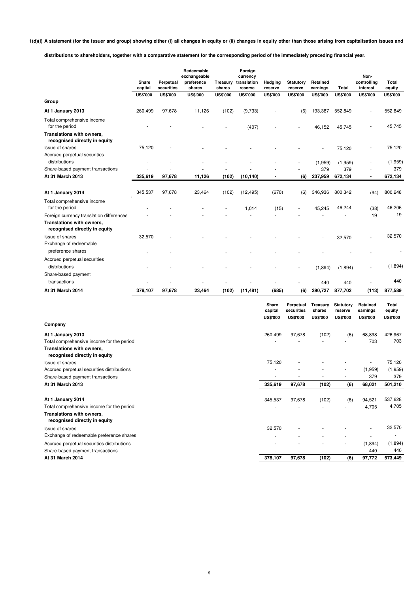**1(d)(i) A statement (for the issuer and group) showing either (i) all changes in equity or (ii) changes in equity other than those arising from capitalisation issues and**

**distributions to shareholders, together with a comparative statement for the corresponding period of the immediately preceding financial year.**

|                                                                                                        | Share<br>capital | Perpetual<br>securities | Redeemable<br>exchangeable<br>preference<br>shares | Treasury<br>shares | Foreign<br>currency<br>translation<br>reserve | Hedging<br>reserve  | <b>Statutory</b><br>reserve | Retained<br>earnings | Total                | Non-<br>controlling<br>interest | Total<br>equity |
|--------------------------------------------------------------------------------------------------------|------------------|-------------------------|----------------------------------------------------|--------------------|-----------------------------------------------|---------------------|-----------------------------|----------------------|----------------------|---------------------------------|-----------------|
|                                                                                                        | <b>US\$'000</b>  | <b>US\$'000</b>         | <b>US\$'000</b>                                    | <b>US\$'000</b>    | <b>US\$'000</b>                               | <b>US\$'000</b>     | <b>US\$'000</b>             | <b>US\$'000</b>      | <b>US\$'000</b>      | <b>US\$'000</b>                 | <b>US\$'000</b> |
| Group                                                                                                  |                  |                         |                                                    |                    |                                               |                     |                             |                      |                      |                                 |                 |
| At 1 January 2013                                                                                      | 260,499          | 97,678                  | 11,126                                             | (102)              | (9,733)                                       |                     | (6)                         | 193,387              | 552,849              |                                 | 552,849         |
| Total comprehensive income<br>for the period                                                           |                  |                         |                                                    |                    | (407)                                         |                     |                             | 46,152               | 45,745               |                                 | 45,745          |
| Translations with owners,<br>recognised directly in equity                                             |                  |                         |                                                    |                    |                                               |                     |                             |                      |                      |                                 |                 |
| <b>Issue of shares</b>                                                                                 | 75,120           |                         |                                                    |                    |                                               |                     |                             |                      | 75,120               |                                 | 75,120          |
| Accrued perpetual securities                                                                           |                  |                         |                                                    |                    |                                               |                     |                             |                      |                      |                                 |                 |
| distributions                                                                                          |                  |                         |                                                    |                    |                                               |                     |                             | (1,959)              | (1,959)              |                                 | (1,959)<br>379  |
| Share-based payment transactions<br>At 31 March 2013                                                   |                  |                         | 11,126                                             | (102)              |                                               | ×<br>$\blacksquare$ |                             | 379                  | 379<br>672,134       | $\blacksquare$                  |                 |
|                                                                                                        | 335,619          | 97,678                  |                                                    |                    | (10, 140)                                     |                     | (6)                         | 237,959              |                      |                                 | 672,134         |
| At 1 January 2014                                                                                      | 345,537          | 97,678                  | 23,464                                             | (102)              | (12, 495)                                     | (670)               | (6)                         | 346,936              | 800,342              | (94)                            | 800,248         |
| Total comprehensive income<br>for the period                                                           |                  |                         |                                                    |                    | 1,014                                         | (15)                |                             | 45,245               | 46,244               | (38)                            | 46,206          |
| Foreign currency translation differences<br>Translations with owners,<br>recognised directly in equity |                  |                         |                                                    |                    |                                               |                     |                             |                      |                      | 19                              | 19              |
| <b>Issue of shares</b>                                                                                 | 32,570           |                         |                                                    |                    |                                               |                     |                             |                      | 32,570               |                                 | 32,570          |
| Exchange of redeemable                                                                                 |                  |                         |                                                    |                    |                                               |                     |                             |                      |                      |                                 |                 |
| preference shares                                                                                      |                  |                         |                                                    |                    |                                               |                     |                             |                      |                      |                                 |                 |
| Accrued perpetual securities<br>distributions                                                          |                  |                         |                                                    |                    |                                               |                     |                             | (1,894)              | (1,894)              |                                 | (1,894)         |
| Share-based payment<br>transactions                                                                    |                  |                         |                                                    |                    |                                               |                     |                             |                      |                      |                                 | 440             |
| At 31 March 2014                                                                                       |                  |                         |                                                    |                    |                                               |                     |                             | 440                  | 440                  |                                 |                 |
|                                                                                                        | 378,107          | 97,678                  | 23,464                                             | (102)              | (11, 481)                                     | (685)               | (6)                         | 390,727              | 877,702              | (113)                           | 877,589         |
|                                                                                                        |                  |                         |                                                    |                    |                                               | Share<br>capital    | Perpetual<br>securities     | Treasury<br>shares   | Statutory<br>reserve | Retained<br>earnings            | Total<br>equity |
|                                                                                                        |                  |                         |                                                    |                    |                                               | <b>US\$'000</b>     | <b>US\$'000</b>             | <b>US\$'000</b>      | <b>US\$'000</b>      | <b>US\$'000</b>                 | <b>US\$'000</b> |
| Company                                                                                                |                  |                         |                                                    |                    |                                               |                     |                             |                      |                      |                                 |                 |
| At 1 January 2013<br>Total comprehensive income for the period<br>Translations with owners,            |                  |                         |                                                    |                    |                                               | 260,499             | 97,678                      | (102)                | (6)                  | 68,898<br>703                   | 426,967<br>703  |

| <b>Hanslations</b> with Owners,                            |         |        |       |                          |         |         |
|------------------------------------------------------------|---------|--------|-------|--------------------------|---------|---------|
| recognised directly in equity                              |         |        |       |                          |         |         |
| Issue of shares                                            | 75,120  |        |       |                          | $\sim$  | 75,120  |
| Accrued perpetual securities distributions                 | ۰.      |        |       | $\sim$                   | (1,959) | (1,959) |
| Share-based payment transactions                           |         |        |       |                          | 379     | 379     |
| At 31 March 2013                                           | 335,619 | 97,678 | (102) | (6)                      | 68,021  | 501,210 |
| At 1 January 2014                                          | 345,537 | 97,678 | (102) | (6)                      | 94,521  | 537,628 |
| Total comprehensive income for the period                  |         |        |       | $\overline{\phantom{a}}$ | 4,705   | 4,705   |
| Translations with owners,<br>recognised directly in equity |         |        |       |                          |         |         |
| Issue of shares                                            | 32,570  |        |       |                          |         | 32,570  |
| Exchange of redeemable preference shares                   |         |        |       |                          |         |         |
| Accrued perpetual securities distributions                 |         |        |       | ٠                        | (1,894) | (1,894) |
| Share-based payment transactions                           |         | ٠      |       | ٠                        | 440     | 440     |
| At 31 March 2014                                           | 378,107 | 97,678 | (102) | (6)                      | 97,772  | 573,449 |

**At 31 March 2014 97,678 378,107 (102) (6) 97,772 573,449**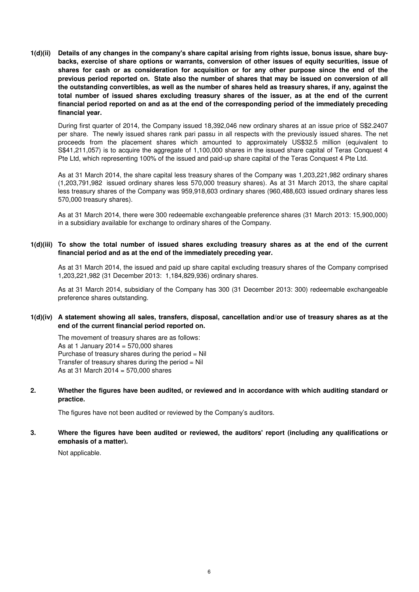**1(d)(ii) Details of any changes in the company's share capital arising from rights issue, bonus issue, share buybacks, exercise of share options or warrants, conversion of other issues of equity securities, issue of shares for cash or as consideration for acquisition or for any other purpose since the end of the previous period reported on. State also the number of shares that may be issued on conversion of all the outstanding convertibles, as well as the number of shares held as treasury shares, if any, against the total number of issued shares excluding treasury shares of the issuer, as at the end of the current financial period reported on and as at the end of the corresponding period of the immediately preceding financial year.**

During first quarter of 2014, the Company issued 18,392,046 new ordinary shares at an issue price of S\$2.2407 per share. The newly issued shares rank pari passu in all respects with the previously issued shares. The net proceeds from the placement shares which amounted to approximately US\$32.5 million (equivalent to S\$41,211,057) is to acquire the aggregate of 1,100,000 shares in the issued share capital of Teras Conquest 4 Pte Ltd, which representing 100% of the issued and paid-up share capital of the Teras Conquest 4 Pte Ltd.

As at 31 March 2014, the share capital less treasury shares of the Company was 1,203,221,982 ordinary shares (1,203,791,982 issued ordinary shares less 570,000 treasury shares). As at 31 March 2013, the share capital less treasury shares of the Company was 959,918,603 ordinary shares (960,488,603 issued ordinary shares less 570,000 treasury shares).

As at 31 March 2014, there were 300 redeemable exchangeable preference shares (31 March 2013: 15,900,000) in a subsidiary available for exchange to ordinary shares of the Company.

**1(d)(iii) To show the total number of issued shares excluding treasury shares as at the end of the current financial period and as at the end of the immediately preceding year.**

As at 31 March 2014, the issued and paid up share capital excluding treasury shares of the Company comprised 1,203,221,982 (31 December 2013: 1,184,829,936) ordinary shares.

As at 31 March 2014, subsidiary of the Company has 300 (31 December 2013: 300) redeemable exchangeable preference shares outstanding.

#### **1(d)(iv) A statement showing all sales, transfers, disposal, cancellation and/or use of treasury shares as at the end of the current financial period reported on.**

The movement of treasury shares are as follows: As at 1 January 2014 = 570,000 shares Purchase of treasury shares during the period = Nil Transfer of treasury shares during the period  $=$  Nil As at 31 March 2014 = 570,000 shares

**2. Whether the figures have been audited, or reviewed and in accordance with which auditing standard or practice.**

The figures have not been audited or reviewed by the Company's auditors.

**3. Where the figures have been audited or reviewed, the auditors' report (including any qualifications or emphasis of a matter).**

Not applicable.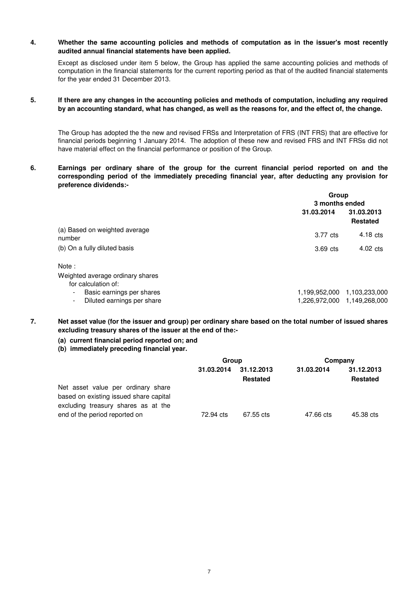#### **4. Whether the same accounting policies and methods of computation as in the issuer's most recently audited annual financial statements have been applied.**

Except as disclosed under item 5 below, the Group has applied the same accounting policies and methods of computation in the financial statements for the current reporting period as that of the audited financial statements for the year ended 31 December 2013.

**5. If there are any changes in the accounting policies and methods of computation, including any required by an accounting standard, what has changed, as well as the reasons for, and the effect of, the change.**

The Group has adopted the the new and revised FRSs and Interpretation of FRS (INT FRS) that are effective for financial periods beginning 1 January 2014. The adoption of these new and revised FRS and INT FRSs did not have material effect on the financial performance or position of the Group.

**6. Earnings per ordinary share of the group for the current financial period reported on and the corresponding period of the immediately preceding financial year, after deducting any provision for preference dividends:-**

|                                                            |                             | Group<br>3 months ended       |  |  |
|------------------------------------------------------------|-----------------------------|-------------------------------|--|--|
|                                                            | 31.03.2014                  | 31.03.2013<br><b>Restated</b> |  |  |
| (a) Based on weighted average<br>number                    | 3.77 cts                    | $4.18 \text{ cts}$            |  |  |
| (b) On a fully diluted basis                               | 3.69 cts                    | $4.02 \text{ cts}$            |  |  |
| Note :                                                     |                             |                               |  |  |
| Weighted average ordinary shares<br>for calculation of:    |                             |                               |  |  |
| Basic earnings per shares<br>$\blacksquare$                | 1,199,952,000               | 1,103,233,000                 |  |  |
| Diluted earnings per share<br>$\qquad \qquad \blacksquare$ | 1,226,972,000 1,149,268,000 |                               |  |  |
|                                                            |                             |                               |  |  |

- **7. Net asset value (for the issuer and group) per ordinary share based on the total number of issued shares excluding treasury shares of the issuer at the end of the:-** 
	- **(a) current financial period reported on; and**
	- **(b) immediately preceding financial year.**

|                                                                                                                     | Group      |                               | Company    |                               |
|---------------------------------------------------------------------------------------------------------------------|------------|-------------------------------|------------|-------------------------------|
|                                                                                                                     | 31.03.2014 | 31.12.2013<br><b>Restated</b> | 31.03.2014 | 31.12.2013<br><b>Restated</b> |
| Net asset value per ordinary share<br>based on existing issued share capital<br>excluding treasury shares as at the |            |                               |            |                               |
| end of the period reported on                                                                                       | 72.94 cts  | 67.55 cts                     | 47.66 cts  | 45.38 cts                     |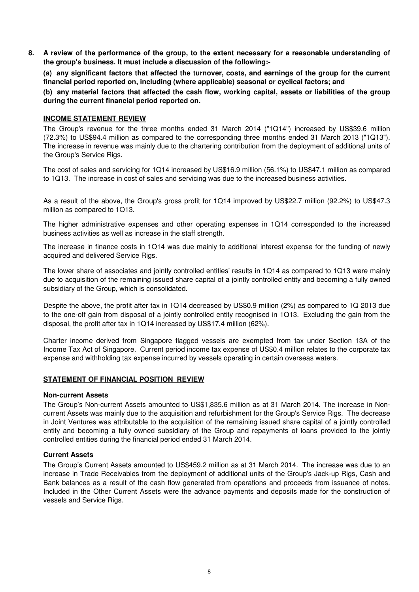**8. A review of the performance of the group, to the extent necessary for a reasonable understanding of the group's business. It must include a discussion of the following:-** 

**(a) any significant factors that affected the turnover, costs, and earnings of the group for the current financial period reported on, including (where applicable) seasonal or cyclical factors; and**

**(b) any material factors that affected the cash flow, working capital, assets or liabilities of the group during the current financial period reported on.**

#### **INCOME STATEMENT REVIEW**

The Group's revenue for the three months ended 31 March 2014 ("1Q14") increased by US\$39.6 million (72.3%) to US\$94.4 million as compared to the corresponding three months ended 31 March 2013 ("1Q13"). The increase in revenue was mainly due to the chartering contribution from the deployment of additional units of the Group's Service Rigs.

The cost of sales and servicing for 1Q14 increased by US\$16.9 million (56.1%) to US\$47.1 million as compared to 1Q13. The increase in cost of sales and servicing was due to the increased business activities.

As a result of the above, the Group's gross profit for 1Q14 improved by US\$22.7 million (92.2%) to US\$47.3 million as compared to 1Q13.

The higher administrative expenses and other operating expenses in 1Q14 corresponded to the increased business activities as well as increase in the staff strength.

The increase in finance costs in 1Q14 was due mainly to additional interest expense for the funding of newly acquired and delivered Service Rigs.

The lower share of associates and jointly controlled entities' results in 1Q14 as compared to 1Q13 were mainly due to acquisition of the remaining issued share capital of a jointly controlled entity and becoming a fully owned subsidiary of the Group, which is consolidated.

Despite the above, the profit after tax in 1Q14 decreased by US\$0.9 million (2%) as compared to 1Q 2013 due to the one-off gain from disposal of a jointly controlled entity recognised in 1Q13. Excluding the gain from the disposal, the profit after tax in 1Q14 increased by US\$17.4 million (62%).

Charter income derived from Singapore flagged vessels are exempted from tax under Section 13A of the Income Tax Act of Singapore. Current period income tax expense of US\$0.4 million relates to the corporate tax expense and withholding tax expense incurred by vessels operating in certain overseas waters.

### **STATEMENT OF FINANCIAL POSITION REVIEW**

#### **Non-current Assets**

The Group's Non-current Assets amounted to US\$1,835.6 million as at 31 March 2014. The increase in Noncurrent Assets was mainly due to the acquisition and refurbishment for the Group's Service Rigs. The decrease in Joint Ventures was attributable to the acquisition of the remaining issued share capital of a jointly controlled entity and becoming a fully owned subsidiary of the Group and repayments of loans provided to the jointly controlled entities during the financial period ended 31 March 2014.

### **Current Assets**

The Group's Current Assets amounted to US\$459.2 million as at 31 March 2014. The increase was due to an increase in Trade Receivables from the deployment of additional units of the Group's Jack-up Rigs, Cash and Bank balances as a result of the cash flow generated from operations and proceeds from issuance of notes. Included in the Other Current Assets were the advance payments and deposits made for the construction of vessels and Service Rigs.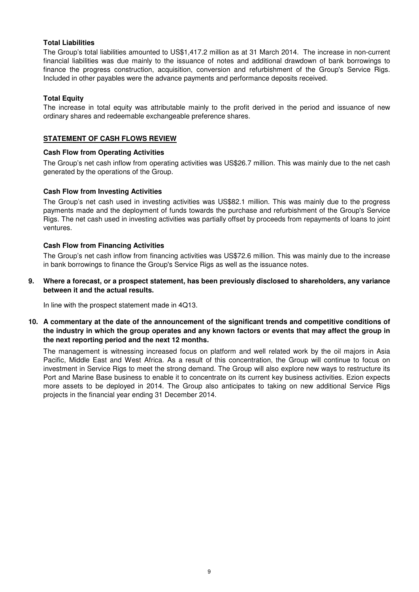### **Total Liabilities**

The Group's total liabilities amounted to US\$1,417.2 million as at 31 March 2014. The increase in non-current financial liabilities was due mainly to the issuance of notes and additional drawdown of bank borrowings to finance the progress construction, acquisition, conversion and refurbishment of the Group's Service Rigs. Included in other payables were the advance payments and performance deposits received.

#### **Total Equity**

The increase in total equity was attributable mainly to the profit derived in the period and issuance of new ordinary shares and redeemable exchangeable preference shares.

#### **STATEMENT OF CASH FLOWS REVIEW**

#### **Cash Flow from Operating Activities**

The Group's net cash inflow from operating activities was US\$26.7 million. This was mainly due to the net cash generated by the operations of the Group.

#### **Cash Flow from Investing Activities**

The Group's net cash used in investing activities was US\$82.1 million. This was mainly due to the progress payments made and the deployment of funds towards the purchase and refurbishment of the Group's Service Rigs. The net cash used in investing activities was partially offset by proceeds from repayments of loans to joint ventures.

#### **Cash Flow from Financing Activities**

The Group's net cash inflow from financing activities was US\$72.6 million. This was mainly due to the increase in bank borrowings to finance the Group's Service Rigs as well as the issuance notes.

**9. Where a forecast, or a prospect statement, has been previously disclosed to shareholders, any variance between it and the actual results.**

In line with the prospect statement made in 4Q13.

**10. A commentary at the date of the announcement of the significant trends and competitive conditions of the industry in which the group operates and any known factors or events that may affect the group in the next reporting period and the next 12 months.**

The management is witnessing increased focus on platform and well related work by the oil majors in Asia Pacific, Middle East and West Africa. As a result of this concentration, the Group will continue to focus on investment in Service Rigs to meet the strong demand. The Group will also explore new ways to restructure its Port and Marine Base business to enable it to concentrate on its current key business activities. Ezion expects more assets to be deployed in 2014. The Group also anticipates to taking on new additional Service Rigs projects in the financial year ending 31 December 2014.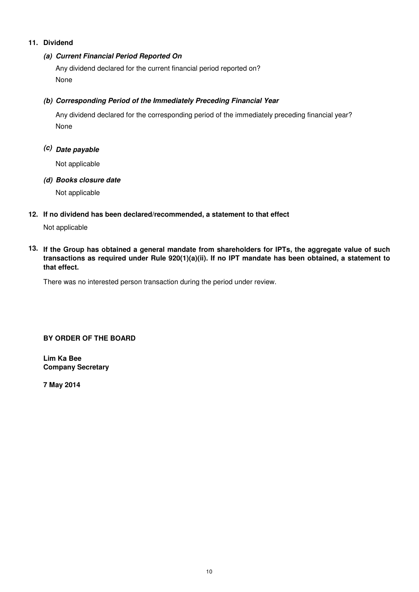# **11. Dividend**

# **(a) Current Financial Period Reported On**

Any dividend declared for the current financial period reported on? None

# **(b) Corresponding Period of the Immediately Preceding Financial Year**

None Any dividend declared for the corresponding period of the immediately preceding financial year?

# **(c) Date payable**

Not applicable

# **(d) Books closure date**

Not applicable

# **12. If no dividend has been declared/recommended, a statement to that effect**

Not applicable

**13. If the Group has obtained a general mandate from shareholders for IPTs, the aggregate value of such transactions as required under Rule 920(1)(a)(ii). If no IPT mandate has been obtained, a statement to that effect.**

There was no interested person transaction during the period under review.

# **BY ORDER OF THE BOARD**

**Lim Ka Bee Company Secretary**

**7 May 2014**